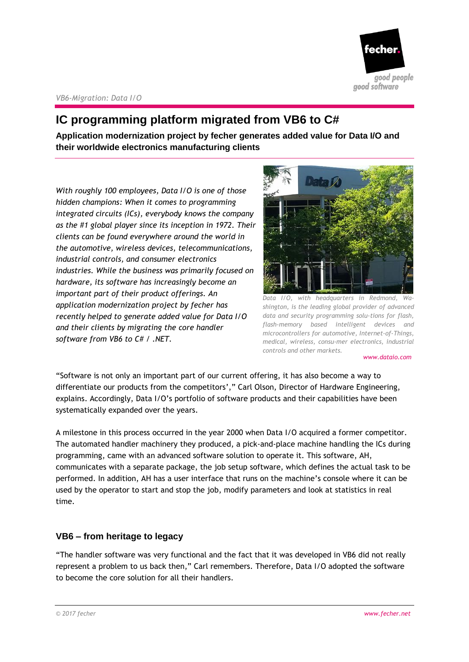

# **IC programming platform migrated from VB6 to C#**

**Application modernization project by fecher generates added value for Data I/O and their worldwide electronics manufacturing clients**

*With roughly 100 employees, Data I/O is one of those hidden champions: When it comes to programming integrated circuits (ICs), everybody knows the company as the #1 global player since its inception in 1972. Their clients can be found everywhere around the world in the automotive, wireless devices, telecommunications, industrial controls, and consumer electronics industries. While the business was primarily focused on hardware, its software has increasingly become an important part of their product offerings. An application modernization project by fecher has recently helped to generate added value for Data I/O and their clients by migrating the core handler software from VB6 to C# / .NET.*



*Data I/O, with headquarters in Redmond, Washington, is the leading global provider of advanced data and security programming solu-tions for flash, flash-memory based intelligent devices and microcontrollers for automotive, Internet-of-Things, medical, wireless, consu-mer electronics, industrial controls and other markets.*

*www.dataio.com*

"Software is not only an important part of our current offering, it has also become a way to differentiate our products from the competitors'," Carl Olson, Director of Hardware Engineering, explains. Accordingly, Data I/O's portfolio of software products and their capabilities have been systematically expanded over the years.

A milestone in this process occurred in the year 2000 when Data I/O acquired a former competitor. The automated handler machinery they produced, a pick-and-place machine handling the ICs during programming, came with an advanced software solution to operate it. This software, AH, communicates with a separate package, the job setup software, which defines the actual task to be performed. In addition, AH has a user interface that runs on the machine's console where it can be used by the operator to start and stop the job, modify parameters and look at statistics in real time.

### **VB6 – from heritage to legacy**

"The handler software was very functional and the fact that it was developed in VB6 did not really represent a problem to us back then," Carl remembers. Therefore, Data I/O adopted the software to become the core solution for all their handlers.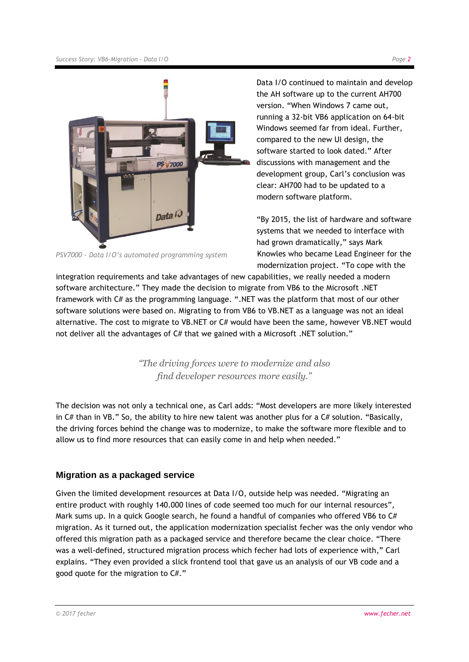

*PSV7000 - Data I/O's automated programming system*

Data I/O continued to maintain and develop the AH software up to the current AH700 version. "When Windows 7 came out, running a 32-bit VB6 application on 64-bit Windows seemed far from ideal. Further, compared to the new UI design, the software started to look dated." After discussions with management and the development group, Carl's conclusion was clear: AH700 had to be updated to a modern software platform.

"By 2015, the list of hardware and software systems that we needed to interface with had grown dramatically," says Mark Knowles who became Lead Engineer for the modernization project. "To cope with the

integration requirements and take advantages of new capabilities, we really needed a modern software architecture." They made the decision to migrate from VB6 to the Microsoft .NET framework with C# as the programming language. ".NET was the platform that most of our other software solutions were based on. Migrating to from VB6 to VB.NET as a language was not an ideal alternative. The cost to migrate to VB.NET or C# would have been the same, however VB.NET would not deliver all the advantages of C# that we gained with a Microsoft .NET solution."

> *"The driving forces were to modernize and also find developer resources more easily."*

The decision was not only a technical one, as Carl adds: "Most developers are more likely interested in C# than in VB." So, the ability to hire new talent was another plus for a C# solution. "Basically, the driving forces behind the change was to modernize, to make the software more flexible and to allow us to find more resources that can easily come in and help when needed."

### **Migration as a packaged service**

Given the limited development resources at Data I/O, outside help was needed. "Migrating an entire product with roughly 140.000 lines of code seemed too much for our internal resources", Mark sums up. In a quick Google search, he found a handful of companies who offered VB6 to  $C#$ migration. As it turned out, the application modernization specialist fecher was the only vendor who offered this migration path as a packaged service and therefore became the clear choice. "There was a well-defined, structured migration process which fecher had lots of experience with," Carl explains. "They even provided a slick frontend tool that gave us an analysis of our VB code and a good quote for the migration to C#."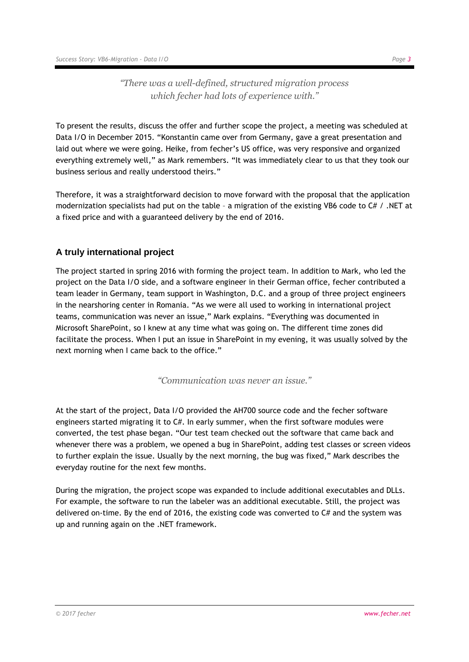## *"There was a well-defined, structured migration process which fecher had lots of experience with."*

To present the results, discuss the offer and further scope the project, a meeting was scheduled at Data I/O in December 2015. "Konstantin came over from Germany, gave a great presentation and laid out where we were going. Heike, from fecher's US office, was very responsive and organized everything extremely well," as Mark remembers. "It was immediately clear to us that they took our business serious and really understood theirs."

Therefore, it was a straightforward decision to move forward with the proposal that the application modernization specialists had put on the table – a migration of the existing VB6 code to C# / .NET at a fixed price and with a guaranteed delivery by the end of 2016.

### **A truly international project**

The project started in spring 2016 with forming the project team. In addition to Mark, who led the project on the Data I/O side, and a software engineer in their German office, fecher contributed a team leader in Germany, team support in Washington, D.C. and a group of three project engineers in the nearshoring center in Romania. "As we were all used to working in international project teams, communication was never an issue," Mark explains. "Everything was documented in Microsoft SharePoint, so I knew at any time what was going on. The different time zones did facilitate the process. When I put an issue in SharePoint in my evening, it was usually solved by the next morning when I came back to the office."

*"Communication was never an issue."*

At the start of the project, Data I/O provided the AH700 source code and the fecher software engineers started migrating it to C#. In early summer, when the first software modules were converted, the test phase began. "Our test team checked out the software that came back and whenever there was a problem, we opened a bug in SharePoint, adding test classes or screen videos to further explain the issue. Usually by the next morning, the bug was fixed," Mark describes the everyday routine for the next few months.

During the migration, the project scope was expanded to include additional executables and DLLs. For example, the software to run the labeler was an additional executable. Still, the project was delivered on-time. By the end of 2016, the existing code was converted to C# and the system was up and running again on the .NET framework.